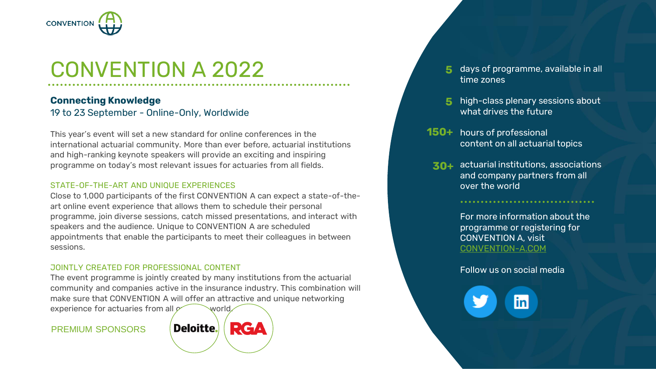

# CONVENTION A 2022 5 days of programme, available in all

### **Connecting Knowledge** 19 to 23 September - Online-Only, Worldwide

This year's event will set a new standard for online conferences in the international actuarial community. More than ever before, actuarial institutions and high-ranking keynote speakers will provide an exciting and inspiring programme on today's most relevant issues for actuaries from all fields.

#### STATE-OF-THE-ART AND UNIQUE EXPERIENCES

Close to 1,000 participants of the first CONVENTION A can expect a state-of-theart online event experience that allows them to schedule their personal programme, join diverse sessions, catch missed presentations, and interact with speakers and the audience. Unique to CONVENTION A are scheduled appointments that enable the participants to meet their colleagues in between sessions.

#### JOINTLY CREATED FOR PROFESSIONAL CONTENT

The event programme is jointly created by many institutions from the actuarial community and companies active in the insurance industry. This combination will make sure that CONVENTION A will offer an attractive and unique networking experience for actuaries from all  $\sim$  world.

#### PREMIUM SPONSORS



- time zones **5**
- high-class plenary sessions about what drives the future **5**
- 150+ hours of professional content on all actuarial topics
- actuarial institutions, associations **30+**and company partners from all over the world

For more information about the programme or registering for CONVENTION A, visit [CONVENTION-A.COM](http://www.convention-a.com/)

Follow us on social media

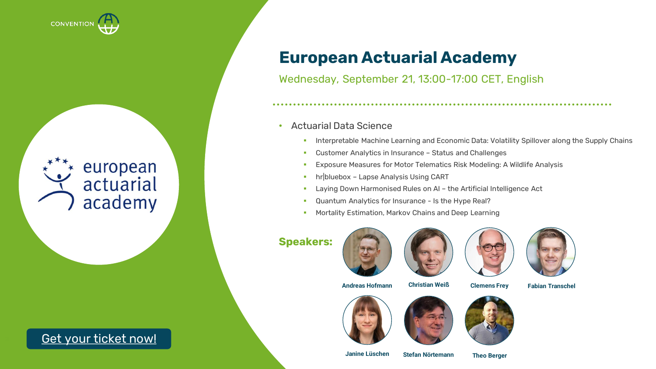

## european actuarial academy

### **2** Get your [ticket now!](https://www.actuarial-events.com/event/5188a0cf-7d43-4171-a9e2-ddbac14794a0/regPage:fad1541d-ff89-414e-bd81-f750248e5260?tm=HQ6wQbm9aFMXYkkxPj11zRZ3BzI0Aekk04Uw77QvPKw&locale=en-US)

### **European Actuarial Academy**

Wednesday, September 21, 13:00-17:00 CET, English

### • Actuarial Data Science

- **EXPLORED Interpretable Machine Learning and Economic Data: Volatility Spillover along the Supply Chains**
- Customer Analytics in Insurance Status and Challenges
- **Exposure Measures for Motor Telematics Risk Modeling: A Wildlife Analysis**
- **·** hr bluebox Lapse Analysis Using CART
- Laying Down Harmonised Rules on AI the Artificial Intelligence Act
- **Quantum Analytics for Insurance Is the Hype Real?**
- Mortality Estimation, Markov Chains and Deep Learning

### **Speakers:**









**Andreas Hofmann Christian Weiß Clemens Frey**











**Fabian Transchel**

**Janine Lüschen**

**Stefan Nörtemann Theo Berger**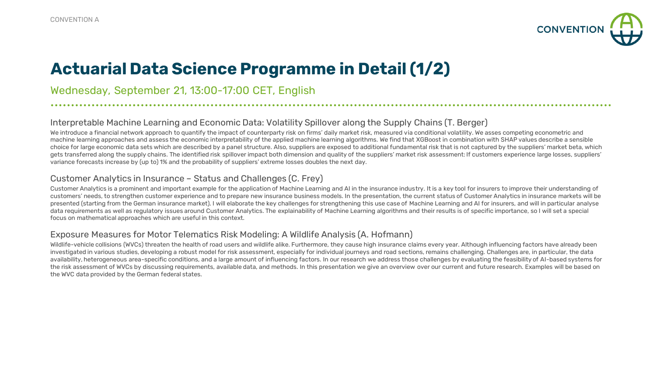

### **Actuarial Data Science Programme in Detail (1/2)**

Wednesday, September 21, 13:00-17:00 CET, English

#### Interpretable Machine Learning and Economic Data: Volatility Spillover along the Supply Chains (T. Berger)

We introduce a financial network approach to quantify the impact of counterparty risk on firms' daily market risk, measured via conditional volatility. We asses competing econometric and machine learning approaches and assess the economic interpretability of the applied machine learning algorithms. We find that XGBoost in combination with SHAP values describe a sensible choice for large economic data sets which are described by a panel structure. Also, suppliers are exposed to additional fundamental risk that is not captured by the suppliers' market beta, which gets transferred along the supply chains. The identified risk spillover impact both dimension and quality of the suppliers' market risk assessment: If customers experience large losses, suppliers' variance forecasts increase by (up to) 1% and the probability of suppliers' extreme losses doubles the next day.

#### Customer Analytics in Insurance – Status and Challenges (C. Frey)

Customer Analytics is a prominent and important example for the application of Machine Learning and AI in the insurance industry. It is a key tool for insurers to improve their understanding of customers' needs, to strengthen customer experience and to prepare new insurance business models. In the presentation, the current status of Customer Analytics in insurance markets will be presented (starting from the German insurance market). I will elaborate the key challenges for strengthening this use case of Machine Learning and AI for insurers, and will in particular analyse data requirements as well as regulatory issues around Customer Analytics. The explainability of Machine Learning algorithms and their results is of specific importance, so I will set a special focus on mathematical approaches which are useful in this context.

#### Exposure Measures for Motor Telematics Risk Modeling: A Wildlife Analysis (A. Hofmann)

Wildlife-vehicle collisions (WVCs) threaten the health of road users and wildlife alike. Furthermore, they cause high insurance claims every year. Although influencing factors have already been investigated in various studies, developing a robust model for risk assessment, especially for individual journeys and road sections, remains challenging. Challenges are, in particular, the data availability, heterogeneous area-specific conditions, and a large amount of influencing factors. In our research we address those challenges by evaluating the feasibility of AI-based systems for the risk assessment of WVCs by discussing requirements, available data, and methods. In this presentation we give an overview over our current and future research. Examples will be based on the WVC data provided by the German federal states.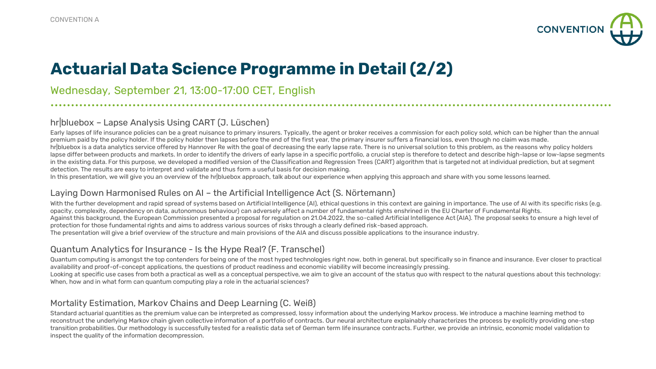

### **Actuarial Data Science Programme in Detail (2/2)**

Wednesday, September 21, 13:00-17:00 CET, English

### hr|bluebox – Lapse Analysis Using CART (J. Lüschen)

Early lapses of life insurance policies can be a great nuisance to primary insurers. Typically, the agent or broker receives a commission for each policy sold, which can be higher than the annual premium paid by the policy holder. If the policy holder then lapses before the end of the first year, the primary insurer suffers a financial loss, even though no claim was made. hr|bluebox is a data analytics service offered by Hannover Re with the goal of decreasing the early lapse rate. There is no universal solution to this problem, as the reasons why policy holders lapse differ between products and markets. In order to identify the drivers of early lapse in a specific portfolio, a crucial step is therefore to detect and describe high-lapse or low-lapse segments in the existing data. For this purpose, we developed a modified version of the Classification and Regression Trees (CART) algorithm that is targeted not at individual prediction, but at segment detection. The results are easy to interpret and validate and thus form a useful basis for decision making.

In this presentation, we will give you an overview of the hr|bluebox approach, talk about our experience when applying this approach and share with you some lessons learned.

### Laying Down Harmonised Rules on AI – the Artificial Intelligence Act (S. Nörtemann)

With the further development and rapid spread of systems based on Artificial Intelligence (AI), ethical questions in this context are gaining in importance. The use of AI with its specific risks (e.g. opacity, complexity, dependency on data, autonomous behaviour) can adversely affect a number of fundamental rights enshrined in the EU Charter of Fundamental Rights. Against this background, the European Commission presented a proposal for regulation on 21.04.2022, the so-called Artificial Intelligence Act (AIA). The proposal seeks to ensure a high level of protection for those fundamental rights and aims to address various sources of risks through a clearly defined risk-based approach. The presentation will give a brief overview of the structure and main provisions of the AIA and discuss possible applications to the insurance industry.

### Quantum Analytics for Insurance - Is the Hype Real? (F. Transchel)

Quantum computing is amongst the top contenders for being one of the most hyped technologies right now, both in general, but specifically so in finance and insurance. Ever closer to practical availability and proof-of-concept applications, the questions of product readiness and economic viability will become increasingly pressing.

Looking at specific use cases from both a practical as well as a conceptual perspective, we aim to give an account of the status quo with respect to the natural questions about this technology: When, how and in what form can quantum computing play a role in the actuarial sciences?

### Mortality Estimation, Markov Chains and Deep Learning (C. Weiß)

Standard actuarial quantities as the premium value can be interpreted as compressed, lossy information about the underlying Markov process. We introduce a machine learning method to reconstruct the underlying Markov chain given collective information of a portfolio of contracts. Our neural architecture explainably characterizes the process by explicitly providing one-step transition probabilities. Our methodology is successfully tested for a realistic data set of German term life insurance contracts. Further, we provide an intrinsic, economic model validation to inspect the quality of the information decompression.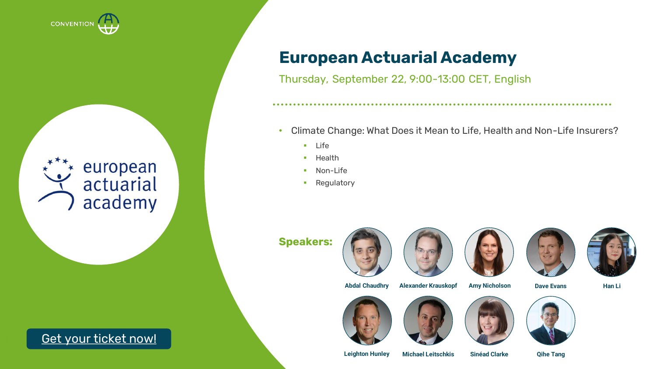

# european<br>actuarial academy

**<sup>5</sup>** Get your [ticket now!](https://www.actuarial-events.com/event/5188a0cf-7d43-4171-a9e2-ddbac14794a0/regPage:fad1541d-ff89-414e-bd81-f750248e5260?tm=HQ6wQbm9aFMXYkkxPj11zRZ3BzI0Aekk04Uw77QvPKw&locale=en-US)

### **European Actuarial Academy**

Thursday, September 22, 9:00-13:00 CET, English

- Climate Change: What Does it Mean to Life, Health and Non-Life Insurers?
	- Life
	- Health
	- Non-Life
	- Regulatory

**Speakers:**











**Abdal Chaudhry Alexander Krauskopf**

**Amy Nicholson Dave Evans Han Li**









**Leighton Hunley Michael Leitschkis Sinéad Clarke Qihe Tang**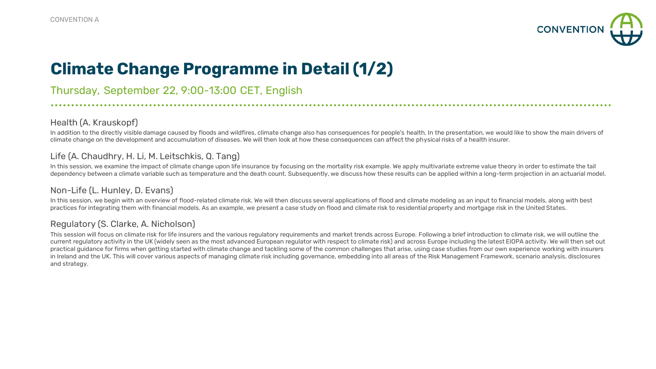

### **Climate Change Programme in Detail (1/2)**

Thursday, September 22, 9:00-13:00 CET, English

### Health (A. Krauskopf)

In addition to the directly visible damage caused by floods and wildfires, climate change also has consequences for people's health. In the presentation, we would like to show the main drivers of climate change on the development and accumulation of diseases. We will then look at how these consequences can affect the physical risks of a health insurer.

### Life (A. Chaudhry, H. Li, M. Leitschkis, Q. Tang)

In this session, we examine the impact of climate change upon life insurance by focusing on the mortality risk example. We apply multivariate extreme value theory in order to estimate the tail dependency between a climate variable such as temperature and the death count. Subsequently, we discuss how these results can be applied within a long-term projection in an actuarial model.

### Non-Life (L. Hunley, D. Evans)

In this session, we begin with an overview of flood-related climate risk. We will then discuss several applications of flood and climate modeling as an input to financial models, along with best practices for integrating them with financial models. As an example, we present a case study on flood and climate risk to residential property and mortgage risk in the United States.

### Regulatory (S. Clarke, A. Nicholson)

This session will focus on climate risk for life insurers and the various regulatory requirements and market trends across Europe. Following a brief introduction to climate risk, we will outline the current regulatory activity in the UK (widely seen as the most advanced European regulator with respect to climate risk) and across Europe including the latest EIOPA activity. We will then set out practical guidance for firms when getting started with climate change and tackling some of the common challenges that arise, using case studies from our own experience working with insurers in Ireland and the UK. This will cover various aspects of managing climate risk including governance, embedding into all areas of the Risk Management Framework, scenario analysis, disclosures and strategy.